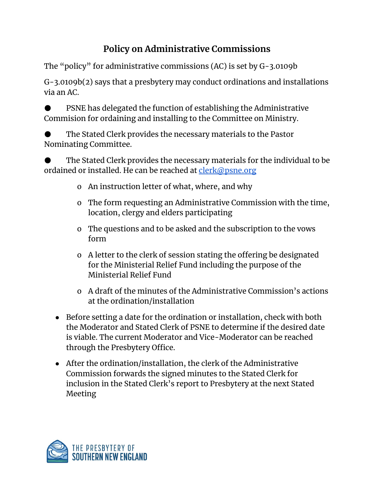## **Policy on Administrative Commissions**

The "policy" for administrative commissions (AC) is set by G-3.0109b

G-3.0109b(2) says that a presbytery may conduct ordinations and installations via an AC.

PSNE has delegated the function of establishing the Administrative Commision for ordaining and installing to the Committee on Ministry.

The Stated Clerk provides the necessary materials to the Pastor Nominating Committee.

The Stated Clerk provides the necessary materials for the individual to be ordained or installed. He can be reached at [clerk@psne.org](mailto:clerk@psne.org)

- o An instruction letter of what, where, and why
- o The form requesting an Administrative Commission with the time, location, clergy and elders participating
- o The questions and to be asked and the subscription to the vows form
- o A letter to the clerk of session stating the offering be designated for the Ministerial Relief Fund including the purpose of the Ministerial Relief Fund
- o A draft of the minutes of the Administrative Commission's actions at the ordination/installation
- Before setting a date for the ordination or installation, check with both the Moderator and Stated Clerk of PSNE to determine if the desired date is viable. The current Moderator and Vice-Moderator can be reached through the Presbytery Office.
- After the ordination/installation, the clerk of the Administrative Commission forwards the signed minutes to the Stated Clerk for inclusion in the Stated Clerk's report to Presbytery at the next Stated Meeting